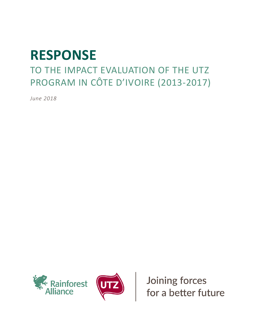# **RESPONSE**

# TO THE IMPACT EVALUATION OF THE UTZ PROGRAM IN CÔTE D'IVOIRE (2013-2017)

*June 2018*





Joining forces<br>for a better future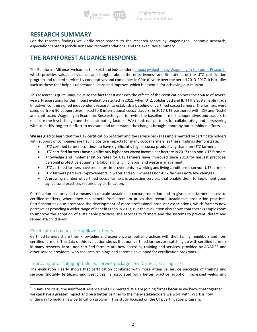

### **RESEARCH SUMMARY**

For the research findings we kindly refer readers to the research report by Wageningen Economic Research, especially chapter 8 (conclusions and recommendations) and the executive summary.

## **THE RAINFOREST ALLIANCE RESPONSE**

The Rainforest Alliance<sup>1</sup> welcomes this solid and independen[t impact evaluation by Wageningen Economic Research,](https://utz.org/wp-content/uploads/2018/06/Towards-Sustainable-Cocoa-in-C%C3%B4te-dIvoire-2018.pdf) which provides valuable evidence and insights about the effectiveness and limitations of the UTZ certification program and related services by cooperatives and companies in Côte d'Ivoire over the period 2013-2017. It is studies such as these that help us understand, learn and improve, which is essential for achieving our mission.

This research is quite unique due to the fact that it assesses the effects of the certification over the course of several years. Preparations for this impact evaluation started in 2011, when UTZ, Solidaridad and IDH (The Sustainable Trade Initiative) commissioned independent research to establish a baseline of certified cocoa farmers. The farmers were sampled from 90 cooperatives linked to 8 international cocoa traders. In 2017 UTZ partnered with IDH and Nestlé and contracted Wageningen Economic Research again to revisit the baseline farmers, cooperatives and traders to measure the level change and the contributing factors. We thank our partners for collaborating and persevering with us in this long-term effort to measure and understand the changes brought about by our combined efforts.

**We are glad** to learn that the UTZ certification program and the service packages implemented by certificate holders with support of companies are having positive impacts for many cocoa farmers, as these findings demonstrate:

- UTZ certified farmers continue to have significantly higher cocoa productivity than non-UTZ farmers.
- UTZ certified farmers have significantly higher net cocoa income per hectare in 2017 than non-UTZ farmers.
- Knowledge and implementation rates for UTZ farmers have improved since 2013 for harvest practices, personal protective equipment, labor rights, child labor, and waste management.
- UTZ certified farmers have seen more improvements in working and living conditions than non-UTZ farmers.
- UTZ farmers perceive improvements in water and soil, whereas non-UTZ farmers note few changes.
- A growing number of certified cocoa farmers is accessing services that enable them to implement good agricultural practices required by certification.

Certification has provided a means to upscale sustainable cocoa production and to give cocoa farmers access to certified markets, where they can benefit from premium prices that reward sustainable production practices. Certification has also promoted the development of more professional producer associations, which farmers now perceive as providing a wider range of benefits than in 2013. But the evaluation also shows that there is ample room to improve the adoption of sustainable practices, the services to farmers and the systems to prevent, detect and remediate child labor.

#### Certification has positive spillover effects

 $\overline{a}$ 

Certified farmers share their knowledge and experience on better practices with their family, neighbors and noncertified farmers. The data of this evaluation shows that non-certified farmers are catching up with certified farmers in many respects. More non-certified farmers are now accessing training and services, provided by ANADER and other service providers, who replicate trainings and services developed for certification programs.

#### Improving and scaling up tailored service packages for farmers; sharing risks

The evaluation clearly shows that certification combined with more intensive service packages of training and services (notably fertilizers and pesticides) is associated with better practice adoption, increased yields and

 $<sup>1</sup>$  In January 2018, the Rainforest Alliance and UTZ merged. We are joining forces because we know that together</sup> we can have a greater impact and be a better partner to the many stakeholders we work with. Work is now underway to build a new certification program. This study focused on the UTZ certification program.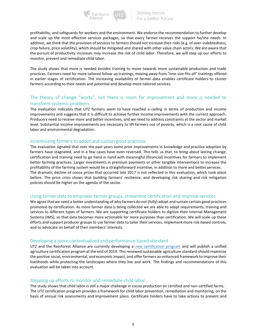

profitability, and safeguards for workers and the environment. We endorse the recommendation to further develop and scale up the most effective services packages, so that every farmer receives the support he/she needs. In addition, we think that the provision of services to farmers should not increase their risks (e.g. of over-indebtedness, crop failure, price volatility), which should be mitigated and shared with other value chain actors. We are aware that the pursuit of productivity increases may increase the risk of child labor. Therefore, we will step up our efforts to monitor, prevent and remediate child labor.

The study shows that more is needed besides training to move towards more sustainable production and trade practices. Farmers need for more tailored follow up trainings, moving away from "one-size-fits-all" trainings offered in earlier stages of certification. The increasing availability of farmer-data enables certificate holders to cluster farmers according to their needs and potential and develop more tailored services.

#### The theory of change "works", but there is room for improvement and more is needed to transform systemic problems

The evaluation indicates that UTZ farmers seem to have reached a ceiling in terms of production and income improvements and suggests that it is difficult to achieve further income improvements with the current approach. Producers need to receive more and better incentives, and we need to address constraints at the sector and market level. Substantial income improvements are necessary to lift farmers out of poverty, which is a root cause of child labor and environmental degradation.

#### Incentivizing farmers to adopt and sustain good practices

The evaluation signaled that over the past years some prior improvements in knowledge and practice adoption by farmers have stagnated, and in a few cases have even reversed. This tells us that, to bring about lasting change, certification and training need to go hand in hand with meaningful (financial) incentives for farmers to implement better farming practices. Larger investments in premium payments or other tangible interventions to increase the profitability of the farming system would be a straightforward incentive, in addition to more and better services. The dramatic decline of cocoa prices that occurred late 2017 is not reflected in this evaluation, which took place before. The price crisis shows that building farmers' resilience, and developing risk sharing and risk mitigation policies should be higher on the agenda of the sector.

#### Using farmer data to empower farmer groups, streamline certification and improve services

We agree that we need a better understanding of why farmers do not (fully) adopt and sustain certain good practices promoted by certification. As more farmer data is being collected we are able to adapt requirements, training and services to different types of farmers. We are supporting certificate holders to digitize their Internal Management Systems (IMS), so that data becomes more actionable for more purposes than certification. We will scale up these efforts and support producer groups to use farmer data to tailor their services, implement more risk-based controls, and to advocate on behalf of their members' interests.

#### Developing a more contextualized and performance-based standard

UTZ and the Rainforest Alliance are currently developing a [new certification program](https://utz.org/new-certification-program/) and will publish a unified agriculture certification program at the end of 2019. This renewed sustainable agriculture standard should maximize the positive social, environmental, and economic impact, and offer farmers an enhanced framework to improve their livelihoods while protecting the landscapes where they live and work. The findings and recommendations of this evaluation will be taken into account.

#### Stepping up efforts to monitor and remediate child labor

The study shows that child labor is still a major challenge in cocoa production on certified and non-certified farms. The UTZ certification program provides a framework for child labor prevention, remediation and monitoring, on the basis of annual risk assessments and improvement plans. Certificate holders have to take actions to prevent and